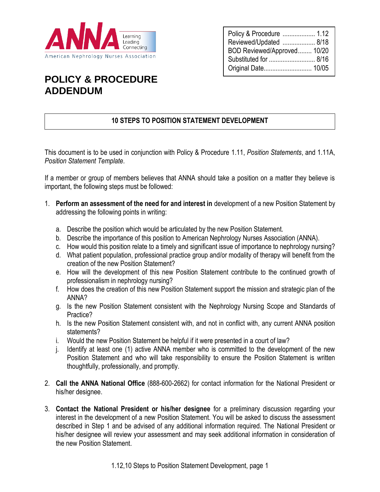

| Policy & Procedure  1.12    |  |
|-----------------------------|--|
| Reviewed/Updated  8/18      |  |
| BOD Reviewed/Approved 10/20 |  |
| Substituted for  8/16       |  |
|                             |  |

## **POLICY & PROCEDURE ADDENDUM**

## **10 STEPS TO POSITION STATEMENT DEVELOPMENT**

This document is to be used in conjunction with Policy & Procedure 1.11, *Position Statements*, and 1.11A, *Position Statement Template*.

If a member or group of members believes that ANNA should take a position on a matter they believe is important, the following steps must be followed:

- 1. **Perform an assessment of the need for and interest in** development of a new Position Statement by addressing the following points in writing:
	- a. Describe the position which would be articulated by the new Position Statement.
	- b. Describe the importance of this position to American Nephrology Nurses Association (ANNA).
	- c. How would this position relate to a timely and significant issue of importance to nephrology nursing?
	- d. What patient population, professional practice group and/or modality of therapy will benefit from the creation of the new Position Statement?
	- e. How will the development of this new Position Statement contribute to the continued growth of professionalism in nephrology nursing?
	- f. How does the creation of this new Position Statement support the mission and strategic plan of the ANNA?
	- g. Is the new Position Statement consistent with the Nephrology Nursing Scope and Standards of Practice?
	- h. Is the new Position Statement consistent with, and not in conflict with, any current ANNA position statements?
	- i. Would the new Position Statement be helpful if it were presented in a court of law?
	- j. Identify at least one (1) active ANNA member who is committed to the development of the new Position Statement and who will take responsibility to ensure the Position Statement is written thoughtfully, professionally, and promptly.
- 2. **Call the ANNA National Office** (888-600-2662) for contact information for the National President or his/her designee.
- 3. **Contact the National President or his/her designee** for a preliminary discussion regarding your interest in the development of a new Position Statement. You will be asked to discuss the assessment described in Step 1 and be advised of any additional information required. The National President or his/her designee will review your assessment and may seek additional information in consideration of the new Position Statement.